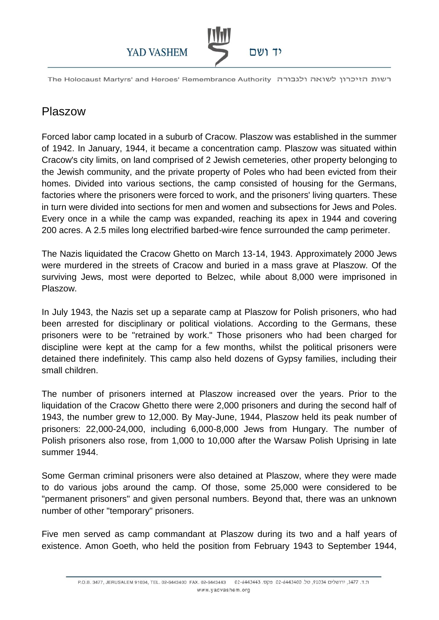

The Holocaust Martyrs' and Heroes' Remembrance Authority רשות הזיכרון לשואה ולגבורה

## Plaszow

Forced labor camp located in a suburb of Cracow. Plaszow was established in the summer of 1942. In January, 1944, it became a concentration camp. Plaszow was situated within Cracow's city limits, on land comprised of 2 Jewish cemeteries, other property belonging to the Jewish community, and the private property of Poles who had been evicted from their homes. Divided into various sections, the camp consisted of housing for the Germans, factories where the prisoners were forced to work, and the prisoners' living quarters. These in turn were divided into sections for men and women and subsections for Jews and Poles. Every once in a while the camp was expanded, reaching its apex in 1944 and covering 200 acres. A 2.5 miles long electrified barbed-wire fence surrounded the camp perimeter.

The Nazis liquidated the Cracow Ghetto on March 13-14, 1943. Approximately 2000 Jews were murdered in the streets of Cracow and buried in a mass grave at Plaszow. Of the surviving Jews, most were deported to Belzec, while about 8,000 were imprisoned in Plaszow.

In July 1943, the Nazis set up a separate camp at Plaszow for Polish prisoners, who had been arrested for disciplinary or political violations. According to the Germans, these prisoners were to be "retrained by work." Those prisoners who had been charged for discipline were kept at the camp for a few months, whilst the political prisoners were detained there indefinitely. This camp also held dozens of Gypsy families, including their small children.

The number of prisoners interned at Plaszow increased over the years. Prior to the liquidation of the Cracow Ghetto there were 2,000 prisoners and during the second half of 1943, the number grew to 12,000. By May-June, 1944, Plaszow held its peak number of prisoners: 22,000-24,000, including 6,000-8,000 Jews from Hungary. The number of Polish prisoners also rose, from 1,000 to 10,000 after the Warsaw Polish Uprising in late summer 1944.

Some German criminal prisoners were also detained at Plaszow, where they were made to do various jobs around the camp. Of those, some 25,000 were considered to be "permanent prisoners" and given personal numbers. Beyond that, there was an unknown number of other "temporary" prisoners.

Five men served as camp commandant at Plaszow during its two and a half years of existence. Amon Goeth, who held the position from February 1943 to September 1944,